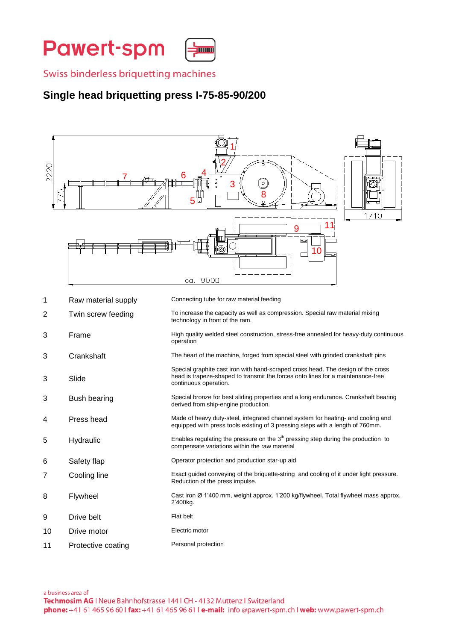**Pawert-spm** 

Swiss binderless briquetting machines

## **Single head briquetting press I-75-85-90/200**



- 5 Hydraulic Enables regulating the pressure on the 3<sup>th</sup> pressing step during the production to compensate variations within the raw material
- 6 Safety flap Operator protection and production star-up aid
- 7 Cooling line Exact guided conveying of the briquette-string and cooling of it under light pressure. Reduction of the press impulse.
- 8 Flywheel Cast iron Ø 1'400 mm, weight approx. 1'200 kg/flywheel. Total flywheel mass approx. 2'400kg.
- 9 Drive belt Flat belt
- 10 Drive motor **Electric motor**
- 11 Protective coating Personal protection